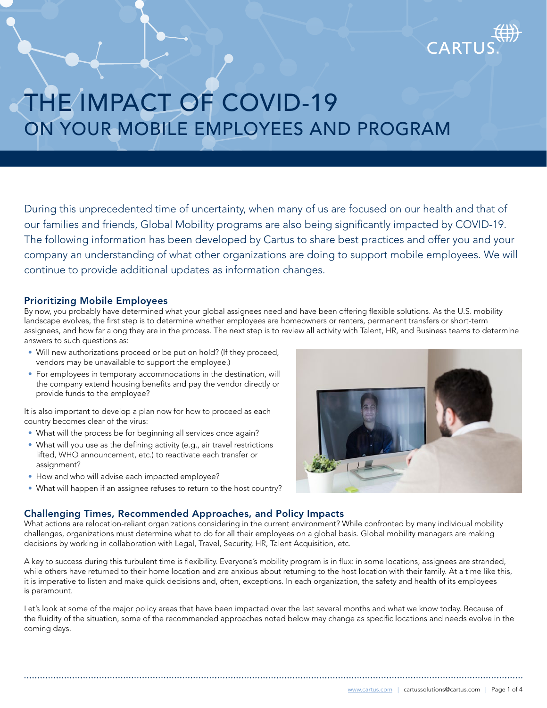

During this unprecedented time of uncertainty, when many of us are focused on our health and that of our families and friends, Global Mobility programs are also being significantly impacted by COVID-19. The following information has been developed by Cartus to share best practices and offer you and your company an understanding of what other organizations are doing to support mobile employees. We will continue to provide additional updates as information changes.

# Prioritizing Mobile Employees

By now, you probably have determined what your global assignees need and have been offering flexible solutions. As the U.S. mobility landscape evolves, the first step is to determine whether employees are homeowners or renters, permanent transfers or short-term assignees, and how far along they are in the process. The next step is to review all activity with Talent, HR, and Business teams to determine answers to such questions as:

- Will new authorizations proceed or be put on hold? (If they proceed, vendors may be unavailable to support the employee.)
- For employees in temporary accommodations in the destination, will the company extend housing benefits and pay the vendor directly or provide funds to the employee?

It is also important to develop a plan now for how to proceed as each country becomes clear of the virus:

- What will the process be for beginning all services once again?
- What will you use as the defining activity (e.g., air travel restrictions lifted, WHO announcement, etc.) to reactivate each transfer or assignment?
- How and who will advise each impacted employee?
- What will happen if an assignee refuses to return to the host country?



# Challenging Times, Recommended Approaches, and Policy Impacts

What actions are relocation-reliant organizations considering in the current environment? While confronted by many individual mobility challenges, organizations must determine what to do for all their employees on a global basis. Global mobility managers are making decisions by working in collaboration with Legal, Travel, Security, HR, Talent Acquisition, etc.

A key to success during this turbulent time is flexibility. Everyone's mobility program is in flux: in some locations, assignees are stranded, while others have returned to their home location and are anxious about returning to the host location with their family. At a time like this, it is imperative to listen and make quick decisions and, often, exceptions. In each organization, the safety and health of its employees is paramount.

Let's look at some of the major policy areas that have been impacted over the last several months and what we know today. Because of the fluidity of the situation, some of the recommended approaches noted below may change as specific locations and needs evolve in the coming days.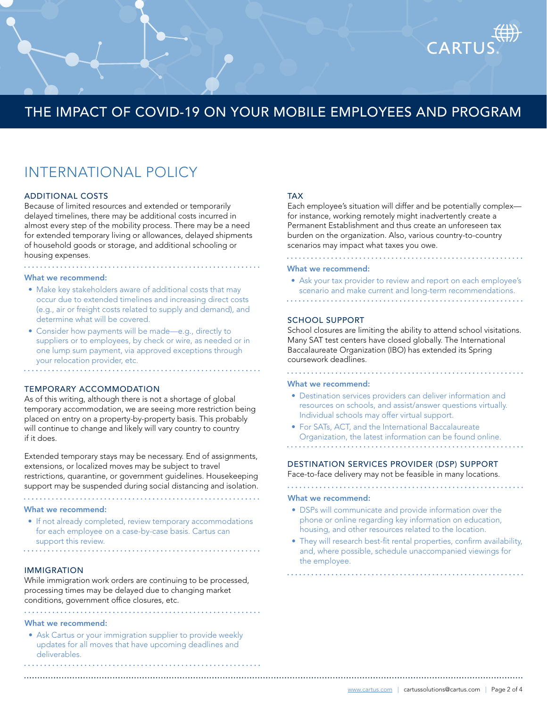# INTERNATIONAL POLICY

#### ADDITIONAL COSTS

Because of limited resources and extended or temporarily delayed timelines, there may be additional costs incurred in almost every step of the mobility process. There may be a need for extended temporary living or allowances, delayed shipments of household goods or storage, and additional schooling or housing expenses.

#### What we recommend:

- Make key stakeholders aware of additional costs that may occur due to extended timelines and increasing direct costs (e.g., air or freight costs related to supply and demand), and determine what will be covered.
- Consider how payments will be made—e.g., directly to suppliers or to employees, by check or wire, as needed or in one lump sum payment, via approved exceptions through your relocation provider, etc.

### TEMPORARY ACCOMMODATION

As of this writing, although there is not a shortage of global temporary accommodation, we are seeing more restriction being placed on entry on a property-by-property basis. This probably will continue to change and likely will vary country to country if it does.

Extended temporary stays may be necessary. End of assignments, extensions, or localized moves may be subject to travel restrictions, quarantine, or government guidelines. Housekeeping support may be suspended during social distancing and isolation.

#### What we recommend:

• If not already completed, review temporary accommodations for each employee on a case-by-case basis. Cartus can support this review. 

IMMIGRATION

While immigration work orders are continuing to be processed, processing times may be delayed due to changing market conditions, government office closures, etc.

#### What we recommend:

• Ask Cartus or your immigration supplier to provide weekly updates for all moves that have upcoming deadlines and deliverables.

### TAX

Each employee's situation will differ and be potentially complex for instance, working remotely might inadvertently create a Permanent Establishment and thus create an unforeseen tax burden on the organization. Also, various country-to-country scenarios may impact what taxes you owe.

CART

#### What we recommend:

• Ask your tax provider to review and report on each employee's scenario and make current and long-term recommendations.

### SCHOOL SUPPORT

School closures are limiting the ability to attend school visitations. Many SAT test centers have closed globally. The International Baccalaureate Organization (IBO) has extended its Spring coursework deadlines.

#### What we recommend:

. . . . . . . . . . . . . . . .

- Destination services providers can deliver information and resources on schools, and assist/answer questions virtually. Individual schools may offer virtual support.
- For SATs, ACT, and the International Baccalaureate Organization, the latest information can be found online.

# DESTINATION SERVICES PROVIDER (DSP) SUPPORT

Face-to-face delivery may not be feasible in many locations.

#### What we recommend:

• DSPs will communicate and provide information over the phone or online regarding key information on education, housing, and other resources related to the location.

• They will research best-fit rental properties, confirm availability, and, where possible, schedule unaccompanied viewings for the employee.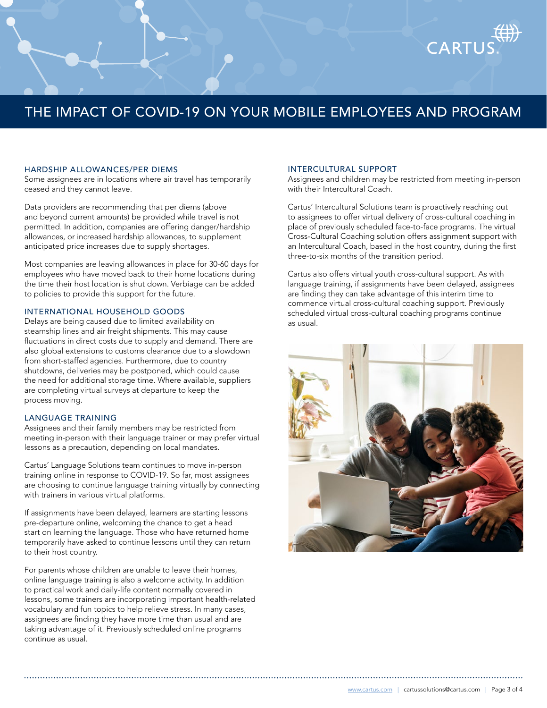### HARDSHIP ALLOWANCES/PER DIEMS

Some assignees are in locations where air travel has temporarily ceased and they cannot leave.

Data providers are recommending that per diems (above and beyond current amounts) be provided while travel is not permitted. In addition, companies are offering danger/hardship allowances, or increased hardship allowances, to supplement anticipated price increases due to supply shortages.

Most companies are leaving allowances in place for 30-60 days for employees who have moved back to their home locations during the time their host location is shut down. Verbiage can be added to policies to provide this support for the future.

#### INTERNATIONAL HOUSEHOLD GOODS

Delays are being caused due to limited availability on steamship lines and air freight shipments. This may cause fluctuations in direct costs due to supply and demand. There are also global extensions to customs clearance due to a slowdown from short-staffed agencies. Furthermore, due to country shutdowns, deliveries may be postponed, which could cause the need for additional storage time. Where available, suppliers are completing virtual surveys at departure to keep the process moving.

### LANGUAGE TRAINING

Assignees and their family members may be restricted from meeting in-person with their language trainer or may prefer virtual lessons as a precaution, depending on local mandates.

Cartus' Language Solutions team continues to move in-person training online in response to COVID-19. So far, most assignees are choosing to continue language training virtually by connecting with trainers in various virtual platforms.

If assignments have been delayed, learners are starting lessons pre-departure online, welcoming the chance to get a head start on learning the language. Those who have returned home temporarily have asked to continue lessons until they can return to their host country.

For parents whose children are unable to leave their homes, online language training is also a welcome activity. In addition to practical work and daily-life content normally covered in lessons, some trainers are incorporating important health-related vocabulary and fun topics to help relieve stress. In many cases, assignees are finding they have more time than usual and are taking advantage of it. Previously scheduled online programs continue as usual.

#### INTERCULTURAL SUPPORT

Assignees and children may be restricted from meeting in-person with their Intercultural Coach.

CARTU

Cartus' Intercultural Solutions team is proactively reaching out to assignees to offer virtual delivery of cross-cultural coaching in place of previously scheduled face-to-face programs. The virtual Cross-Cultural Coaching solution offers assignment support with an Intercultural Coach, based in the host country, during the first three-to-six months of the transition period.

Cartus also offers virtual youth cross-cultural support. As with language training, if assignments have been delayed, assignees are finding they can take advantage of this interim time to commence virtual cross-cultural coaching support. Previously scheduled virtual cross-cultural coaching programs continue as usual.